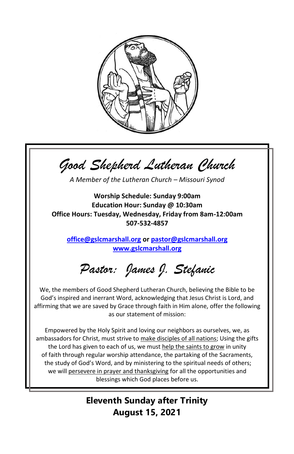

*Good Shepherd Lutheran Church*

*A Member of the Lutheran Church – Missouri Synod*

**Worship Schedule: Sunday 9:00am Education Hour: Sunday @ 10:30am Office Hours: Tuesday, Wednesday, Friday from 8am-12:00am 507-532-4857**

**[office@gslcmarshall.org](mailto:office@gslcmarshall.org) o[r pastor@gslcmarshall.org](mailto:pastor@gslcmarshall.org) [www.gslcmarshall.org](http://www.gslcmarshall.org/)**

*Pastor: James J. Stefanic*

We, the members of Good Shepherd Lutheran Church, believing the Bible to be God's inspired and inerrant Word, acknowledging that Jesus Christ is Lord, and affirming that we are saved by Grace through faith in Him alone, offer the following as our statement of mission:

Empowered by the Holy Spirit and loving our neighbors as ourselves, we, as ambassadors for Christ, must strive to make disciples of all nations; Using the gifts the Lord has given to each of us, we must help the saints to grow in unity of faith through regular worship attendance, the partaking of the Sacraments, the study of God's Word, and by ministering to the spiritual needs of others; we will persevere in prayer and thanksgiving for all the opportunities and blessings which God places before us.

> **Eleventh Sunday after Trinity August 15, 2021**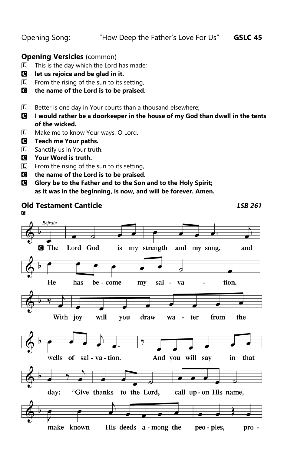Opening Song: "How Deep the Father's Love For Us" **GSLC 45**

## **Opening Versicles** (common)

- $\Box$  This is the day which the Lord has made;
- C **let us rejoice and be glad in it.**
- $\mathbb{L}$  From the rising of the sun to its setting,
- C **the name of the Lord is to be praised.**
- $\Box$  Better is one day in Your courts than a thousand elsewhere;
- C **I would rather be a doorkeeper in the house of my God than dwell in the tents of the wicked.**

**Old Testament Canticle** *LSB 261*

- L Make me to know Your ways, O Lord.
- C **Teach me Your paths.**
- **L** Sanctify us in Your truth.
- C **Your Word is truth.**
- **L** From the rising of the sun to its setting,
- C **the name of the Lord is to be praised.**
- C **Glory be to the Father and to the Son and to the Holy Spirit; as it was in the beginning, is now, and will be forever. Amen.**

#### CRefrain **G** The Lord God is my strength and my song, and He has be - come  $m<sub>V</sub>$ sal - va tion. With joy will you draw from the wa ter  $\overline{\phantom{a}}$ wells of sal - va - tion. And you will say in that day: "Give thanks to the Lord, call up-on His name,

His deeds a - mong the make known peo - ples, pro -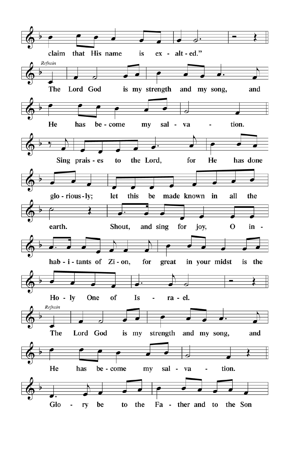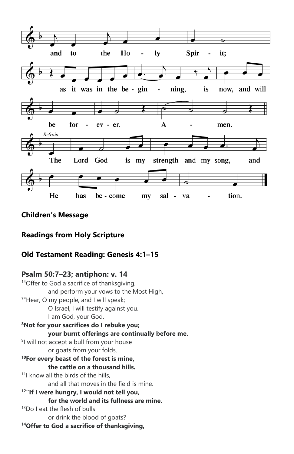

# **Children's Message**

# **Readings from Holy Scripture**

## **Old Testament Reading: Genesis 4:1–15**

## **Psalm 50:7–23; antiphon: v. 14**

<sup>14</sup>Offer to God a sacrifice of thanksgiving, and perform your vows to the Most High, <sup>7</sup>"Hear, O my people, and I will speak; O Israel, I will testify against you. I am God, your God. **<sup>8</sup>Not for your sacrifices do I rebuke you; your burnt offerings are continually before me.** <sup>9</sup>I will not accept a bull from your house or goats from your folds. **<sup>10</sup>For every beast of the forest is mine, the cattle on a thousand hills.** <sup>11</sup>I know all the birds of the hills. and all that moves in the field is mine. **<sup>12</sup>"If I were hungry, I would not tell you, for the world and its fullness are mine.** <sup>13</sup>Do I eat the flesh of bulls or drink the blood of goats? **14Offer to God a sacrifice of thanksgiving,**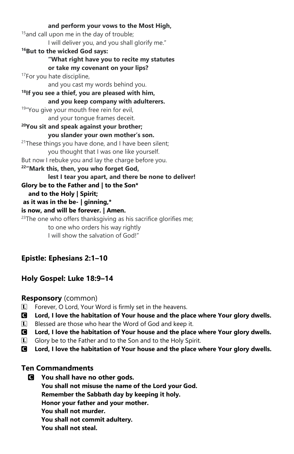**and perform your vows to the Most High,**  $15$ and call upon me in the day of trouble; I will deliver you, and you shall glorify me." **<sup>16</sup>But to the wicked God says: "What right have you to recite my statutes or take my covenant on your lips?** <sup>17</sup>For you hate discipline, and you cast my words behind you. **<sup>18</sup>If you see a thief, you are pleased with him, and you keep company with adulterers.** <sup>19</sup>"You give your mouth free rein for evil, and your tongue frames deceit. **<sup>20</sup>You sit and speak against your brother; you slander your own mother's son.** <sup>21</sup>These things you have done, and I have been silent; you thought that I was one like yourself. But now I rebuke you and lay the charge before you. **<sup>22</sup>"Mark this, then, you who forget God, lest I tear you apart, and there be none to deliver! Glory be to the Father and | to the Son\* and to the Holy | Spirit; as it was in the be- | ginning,\* is now, and will be forever. | Amen.**   $23$ The one who offers thanksgiving as his sacrifice glorifies me; to one who orders his way rightly I will show the salvation of God!"

## **Epistle: Ephesians 2:1–10**

## **Holy Gospel: Luke 18:9–14**

## **Responsory** (common)

- L Forever, O Lord, Your Word is firmly set in the heavens.
- C **Lord, I love the habitation of Your house and the place where Your glory dwells.**
- $\Box$  Blessed are those who hear the Word of God and keep it.
- C **Lord, I love the habitation of Your house and the place where Your glory dwells.**
- L Glory be to the Father and to the Son and to the Holy Spirit.
- C **Lord, I love the habitation of Your house and the place where Your glory dwells.**

# **Ten Commandments**

C **You shall have no other gods. You shall not misuse the name of the Lord your God. Remember the Sabbath day by keeping it holy. Honor your father and your mother. You shall not murder. You shall not commit adultery. You shall not steal.**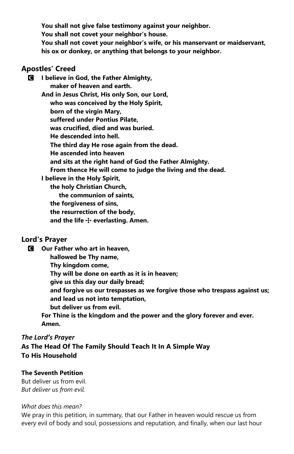**You shall not give false testimony against your neighbor. You shall not covet your neighbor's house. You shall not covet your neighbor's wife, or his manservant or maidservant, his ox or donkey, or anything that belongs to your neighbor.**

## **Apostles' Creed**

C **I believe in God, the Father Almighty, maker of heaven and earth. And in Jesus Christ, His only Son, our Lord, who was conceived by the Holy Spirit, born of the virgin Mary, suffered under Pontius Pilate, was crucified, died and was buried. He descended into hell. The third day He rose again from the dead. He ascended into heaven and sits at the right hand of God the Father Almighty. From thence He will come to judge the living and the dead. I believe in the Holy Spirit, the holy Christian Church,**

 **the communion of saints,**

- **the forgiveness of sins,**
- **the resurrection of the body,**
- **and the life** T **everlasting. Amen.**

## **Lord's Prayer**

C **Our Father who art in heaven,**

 **hallowed be Thy name,**

 **Thy kingdom come,**

 **Thy will be done on earth as it is in heaven;**

 **give us this day our daily bread;**

- **and forgive us our trespasses as we forgive those who trespass against us; and lead us not into temptation,**
- **but deliver us from evil.**
- **For Thine is the kingdom and the power and the glory forever and ever. Amen.**

### *The Lord's Prayer*

**As The Head Of The Family Should Teach It In A Simple Way To His Household**

### **The Seventh Petition**

But deliver us from evil. *But deliver us from evil.*

### *What does this mean?*

We pray in this petition, in summary, that our Father in heaven would rescue us from every evil of body and soul, possessions and reputation, and finally, when our last hour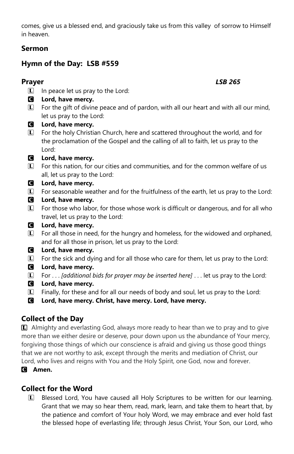comes, give us a blessed end, and graciously take us from this valley of sorrow to Himself in heaven.

# **Sermon**

# **Hymn of the Day: LSB #559**

## **Prayer** *LSB 265*

- $\Box$  In peace let us pray to the Lord:
- C **Lord, have mercy.**
- $\mathbb{L}$  For the gift of divine peace and of pardon, with all our heart and with all our mind, let us pray to the Lord:
- C **Lord, have mercy.**
- L For the holy Christian Church, here and scattered throughout the world, and for the proclamation of the Gospel and the calling of all to faith, let us pray to the Lord:
- C **Lord, have mercy.**
- L For this nation, for our cities and communities, and for the common welfare of us all, let us pray to the Lord:
- C **Lord, have mercy.**
- L For seasonable weather and for the fruitfulness of the earth, let us pray to the Lord:
- C **Lord, have mercy.**
- $\mathbb{L}$  For those who labor, for those whose work is difficult or dangerous, and for all who travel, let us pray to the Lord:
- C **Lord, have mercy.**
- L For all those in need, for the hungry and homeless, for the widowed and orphaned, and for all those in prison, let us pray to the Lord:

## C **Lord, have mercy.**

- $\Box$  For the sick and dying and for all those who care for them, let us pray to the Lord:
- C **Lord, have mercy.**
- L For . . . *[additional bids for prayer may be inserted here]* . . . let us pray to the Lord:
- C **Lord, have mercy.**
- $\Box$  Finally, for these and for all our needs of body and soul, let us pray to the Lord:
- C **Lord, have mercy. Christ, have mercy. Lord, have mercy.**

# **Collect of the Day**

L Almighty and everlasting God, always more ready to hear than we to pray and to give more than we either desire or deserve, pour down upon us the abundance of Your mercy, forgiving those things of which our conscience is afraid and giving us those good things that we are not worthy to ask, except through the merits and mediation of Christ, our Lord, who lives and reigns with You and the Holy Spirit, one God, now and forever.

# C **Amen.**

# **Collect for the Word**

L Blessed Lord, You have caused all Holy Scriptures to be written for our learning. Grant that we may so hear them, read, mark, learn, and take them to heart that, by the patience and comfort of Your holy Word, we may embrace and ever hold fast the blessed hope of everlasting life; through Jesus Christ, Your Son, our Lord, who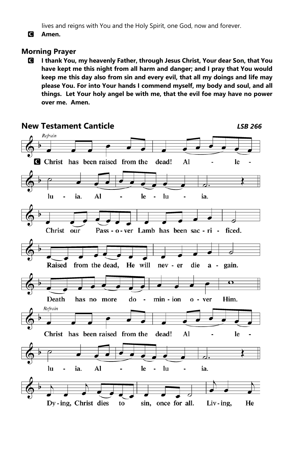lives and reigns with You and the Holy Spirit, one God, now and forever.

C **Amen.**

## **Morning Prayer**

C **I thank You, my heavenly Father, through Jesus Christ, Your dear Son, that You have kept me this night from all harm and danger; and I pray that You would keep me this day also from sin and every evil, that all my doings and life may please You. For into Your hands I commend myself, my body and soul, and all things. Let Your holy angel be with me, that the evil foe may have no power over me. Amen.** 

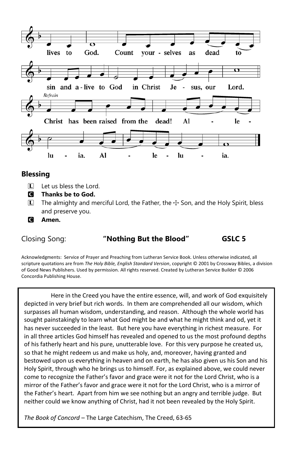

## **Blessing**

- L Let us bless the Lord.
- C **Thanks be to God.**
- $\Box$  The almighty and merciful Lord, the Father, the  $\div$  Son, and the Holy Spirit, bless and preserve you.
- C **Amen.**

## Closing Song: **"Nothing But the Blood" GSLC 5**

Acknowledgments: Service of Prayer and Preaching from Lutheran Service Book. Unless otherwise indicated, all scripture quotations are from *The Holy Bible, English Standard Version*, copyright © 2001 by Crossway Bibles, a division of Good News Publishers. Used by permission. All rights reserved. Created by Lutheran Service Builder © 2006 Concordia Publishing House.

Here in the Creed you have the entire essence, will, and work of God exquisitely depicted in very brief but rich words. In them are comprehended all our wisdom, which surpasses all human wisdom, understanding, and reason. Although the whole world has sought painstakingly to learn what God might be and what he might think and od, yet it has never succeeded in the least. But here you have everything in richest measure. For in all three articles God himself has revealed and opened to us the most profound depths of his fatherly heart and his pure, unutterable love. For this very purpose he created us, so that he might redeem us and make us holy, and, moreover, having granted and bestowed upon us everything in heaven and on earth, he has also given us his Son and his Holy Spirit, through who he brings us to himself. For, as explained above, we could never come to recognize the Father's favor and grace were it not for the Lord Christ, who is a mirror of the Father's favor and grace were it not for the Lord Christ, who is a mirror of the Father's heart. Apart from him we see nothing but an angry and terrible judge. But neither could we know anything of Christ, had it not been revealed by the Holy Spirit.

*The Book of Concord* – The Large Catechism, The Creed, 63-65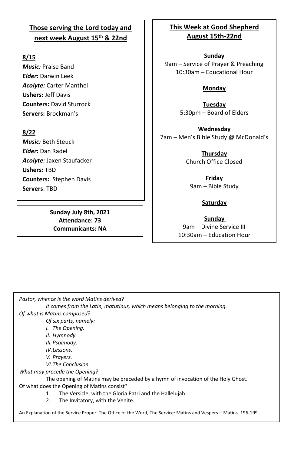# **Those serving the Lord today and next week August 15th & 22nd**

## **8/15**

*Music:* Praise Band *Elder***:** Darwin Leek *Acolyte:* Carter Manthei **Ushers:** Jeff Davis **Counters:** David Sturrock **Servers:** Brockman's

## **8/22**

*Music:* Beth Steuck *Elder***:** Dan Radel *Acolyte:* Jaxen Staufacker **Ushers:** TBD **Counters:** Stephen Davis **Servers**: TBD

> **Sunday July 8th, 2021 Attendance: 73 Communicants: NA**

## **This Week at Good Shepherd August 15th-22nd**

**Sunday** 9am – Service of Prayer & Preaching 10:30am – Educational Hour

## **Monday**

**Tuesday** 5:30pm – Board of Elders

**Wednesday** 7am – Men's Bible Study @ McDonald's

> **Thursday** Church Office Closed

**Friday** 9am – Bible Study

### **Saturday**

**Sunday**  9am – Divine Service III 10:30am – Education Hour

*Pastor, whence is the word Matins derived? It comes from the Latin, matutinus, which means belonging to the morning. Of what is Matins composed? Of six parts, namely: I. The Opening. II. Hymnody. III.Psalmody. IV.Lessons. V. Prayers. VI.The Conclusion. What may precede the Opening?* The opening of Matins may be preceded by a hymn of invocation of the Holy Ghost. Of what does the Opening of Matins consist? 1. The Versicle, with the Gloria Patri and the Hallelujah. 2. The Invitatory, with the Venite. An Explanation of the Service Proper: The Office of the Word, The Service: Matins and Vespers – Matins. 196-199..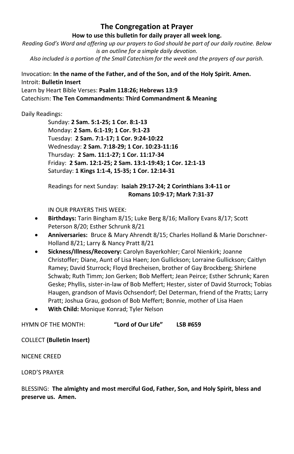# **The Congregation at Prayer**

### **How to use this bulletin for daily prayer all week long.**

*Reading God's Word and offering up our prayers to God should be part of our daily routine. Below is an outline for a simple daily devotion. Also included is a portion of the Small Catechism for the week and the prayers of our parish.*

# Invocation: **In the name of the Father, and of the Son, and of the Holy Spirit. Amen.** Introit: **Bulletin Insert**

Learn by Heart Bible Verses: **Psalm 118:26; Hebrews 13:9**

Catechism: **The Ten Commandments: Third Commandment & Meaning** 

## Daily Readings:

Sunday: **2 Sam. 5:1-25; 1 Cor. 8:1-13** Monday: **2 Sam. 6:1-19; 1 Cor. 9:1-23** Tuesday: **2 Sam. 7:1-17; 1 Cor. 9:24-10:22** Wednesday: **2 Sam. 7:18-29; 1 Cor. 10:23-11:16** Thursday: **2 Sam. 11:1-27; 1 Cor. 11:17-34** Friday: **2 Sam. 12:1-25; 2 Sam. 13:1-19:43; 1 Cor. 12:1-13** Saturday: **1 Kings 1:1-4, 15-35; 1 Cor. 12:14-31**

Readings for next Sunday: **Isaiah 29:17-24; 2 Corinthians 3:4-11 or Romans 10:9-17; Mark 7:31-37**

IN OUR PRAYERS THIS WEEK:

- **Birthdays:** Tarin Bingham 8/15; Luke Berg 8/16; Mallory Evans 8/17; Scott Peterson 8/20; Esther Schrunk 8/21
- **Anniversaries:** Bruce & Mary Ahrendt 8/15; Charles Holland & Marie Dorschner-Holland 8/21; Larry & Nancy Pratt 8/21
- **Sickness/Illness/Recovery:** Carolyn Bayerkohler; Carol Nienkirk; Joanne Christoffer; Diane, Aunt of Lisa Haen; Jon Gullickson; Lorraine Gullickson; Caitlyn Ramey; David Sturrock; Floyd Brecheisen, brother of Gay Brockberg; Shirlene Schwab; Ruth Timm; Jon Gerken; Bob Meffert; Jean Peirce; Esther Schrunk; Karen Geske; Phyllis, sister-in-law of Bob Meffert; Hester, sister of David Sturrock; Tobias Haugen, grandson of Mavis Ochsendorf; Del Determan, friend of the Pratts; Larry Pratt; Joshua Grau, godson of Bob Meffert; Bonnie, mother of Lisa Haen
- **With Child:** Monique Konrad; Tyler Nelson

HYMN OF THE MONTH: **"Lord of Our Life" LSB #659**

COLLECT **(Bulletin Insert)**

NICENE CREED

LORD'S PRAYER

BLESSING: **The almighty and most merciful God, Father, Son, and Holy Spirit, bless and preserve us. Amen.**